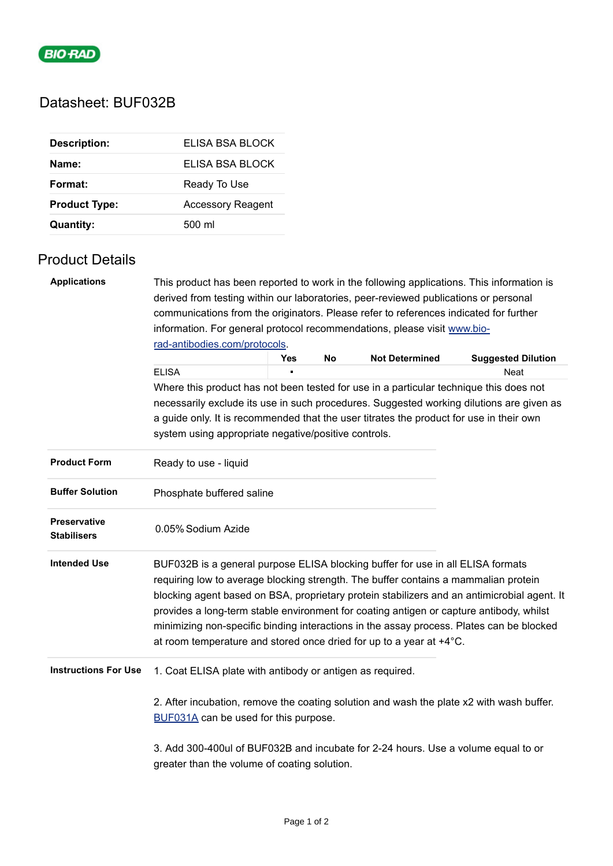

## Datasheet: BUF032B

| <b>Description:</b>  | ELISA BSA BLOCK          |
|----------------------|--------------------------|
| Name:                | FLISA BSA BLOCK          |
| Format:              | Ready To Use             |
| <b>Product Type:</b> | <b>Accessory Reagent</b> |
| <b>Quantity:</b>     | 500 ml                   |

## Product Details

| <b>Applications</b>                       | This product has been reported to work in the following applications. This information is                                                                                                                                                                                                                                                                                                                                                                                                                                           |     |    |                       |                           |  |  |
|-------------------------------------------|-------------------------------------------------------------------------------------------------------------------------------------------------------------------------------------------------------------------------------------------------------------------------------------------------------------------------------------------------------------------------------------------------------------------------------------------------------------------------------------------------------------------------------------|-----|----|-----------------------|---------------------------|--|--|
|                                           | derived from testing within our laboratories, peer-reviewed publications or personal                                                                                                                                                                                                                                                                                                                                                                                                                                                |     |    |                       |                           |  |  |
|                                           | communications from the originators. Please refer to references indicated for further<br>information. For general protocol recommendations, please visit www.bio-                                                                                                                                                                                                                                                                                                                                                                   |     |    |                       |                           |  |  |
|                                           |                                                                                                                                                                                                                                                                                                                                                                                                                                                                                                                                     |     |    |                       |                           |  |  |
|                                           | rad-antibodies.com/protocols.                                                                                                                                                                                                                                                                                                                                                                                                                                                                                                       |     |    |                       |                           |  |  |
|                                           |                                                                                                                                                                                                                                                                                                                                                                                                                                                                                                                                     | Yes | No | <b>Not Determined</b> | <b>Suggested Dilution</b> |  |  |
|                                           | <b>ELISA</b>                                                                                                                                                                                                                                                                                                                                                                                                                                                                                                                        |     |    |                       | <b>Neat</b>               |  |  |
|                                           | Where this product has not been tested for use in a particular technique this does not                                                                                                                                                                                                                                                                                                                                                                                                                                              |     |    |                       |                           |  |  |
|                                           | necessarily exclude its use in such procedures. Suggested working dilutions are given as<br>a guide only. It is recommended that the user titrates the product for use in their own                                                                                                                                                                                                                                                                                                                                                 |     |    |                       |                           |  |  |
|                                           |                                                                                                                                                                                                                                                                                                                                                                                                                                                                                                                                     |     |    |                       |                           |  |  |
|                                           | system using appropriate negative/positive controls.                                                                                                                                                                                                                                                                                                                                                                                                                                                                                |     |    |                       |                           |  |  |
| <b>Product Form</b>                       | Ready to use - liquid                                                                                                                                                                                                                                                                                                                                                                                                                                                                                                               |     |    |                       |                           |  |  |
| <b>Buffer Solution</b>                    | Phosphate buffered saline                                                                                                                                                                                                                                                                                                                                                                                                                                                                                                           |     |    |                       |                           |  |  |
| <b>Preservative</b><br><b>Stabilisers</b> | 0.05% Sodium Azide                                                                                                                                                                                                                                                                                                                                                                                                                                                                                                                  |     |    |                       |                           |  |  |
| <b>Intended Use</b>                       | BUF032B is a general purpose ELISA blocking buffer for use in all ELISA formats<br>requiring low to average blocking strength. The buffer contains a mammalian protein<br>blocking agent based on BSA, proprietary protein stabilizers and an antimicrobial agent. It<br>provides a long-term stable environment for coating antigen or capture antibody, whilst<br>minimizing non-specific binding interactions in the assay process. Plates can be blocked<br>at room temperature and stored once dried for up to a year at +4°C. |     |    |                       |                           |  |  |
| <b>Instructions For Use</b>               | 1. Coat ELISA plate with antibody or antigen as required.                                                                                                                                                                                                                                                                                                                                                                                                                                                                           |     |    |                       |                           |  |  |
|                                           | 2. After incubation, remove the coating solution and wash the plate x2 with wash buffer.<br>BUF031A can be used for this purpose.                                                                                                                                                                                                                                                                                                                                                                                                   |     |    |                       |                           |  |  |
|                                           | 3. Add 300-400ul of BUF032B and incubate for 2-24 hours. Use a volume equal to or<br>greater than the volume of coating solution.                                                                                                                                                                                                                                                                                                                                                                                                   |     |    |                       |                           |  |  |